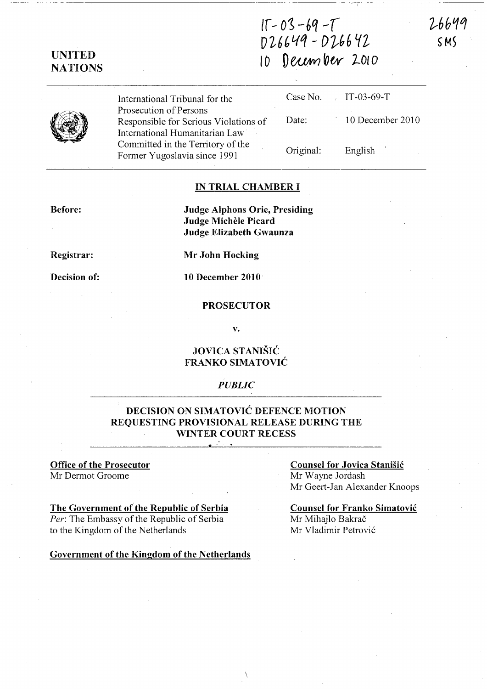$15 - 03 - 69 - T$  $D 26649 - D 26642$  $10$  December 2010

26649  $SMS$ 

|--|

UNITED **NATIONS** 

> International Tribunal for the Prosecution of Persons Responsible for Serious Viola International Humanitarian La Committed in the Territory of Fonner Yugoslavia since 1991

|                 |           | Case No. $IT-03-69-T$ |
|-----------------|-----------|-----------------------|
| ations of<br>aw | Date:     | 10 December 2010      |
| f the           | Original: | English               |

#### IN TRIAL CHAMBER I

Before:

Judge Alphons Orie, Presiding Judge Michèle Picard Judge Elizabeth Gwaunza

Registrar:

Decision of:

Mr John Hocking

10 December 2010'

#### PROSECUTOR

v.

### JOVICA STANISIC FRANKO SIMATOVIC

### *PUBLIC*

## DECISION ON SIMATOVIC DEFENCE MOTION REQUESTING PROVISIONAL RELEASE DURING THE WINTER COURT RECESS

### Office of the Prosecutor

Mr Dermot Groome

#### The Government of the Republic of Serbia

*Per:* The Embassy of the Republic of Serbia to the Kingdom of the Netherlands

#### Government of the Kingdom of the Netherlands

### Counsel for Jovica Stanisic

Mr Wayne lordash Mr Geert-Jan Alexander Knoops

# Counsel for Franko Simatovic

Mr Mihajlo Bakrač Mr Vladimir Petrovic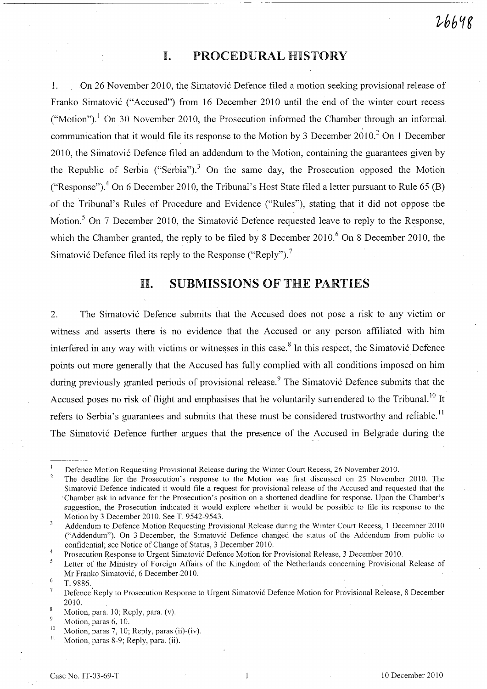## I. PROCEDURAL HISTORY

1. On 26 November 2010, the Simatovi6 Defence filed a motion seeking provisional release of Franko Simatović ("Accused") from 16 December 2010 until the end of the winter court recess ("Motion").<sup>1</sup> On 30 November 2010, the Prosecution informed the Chamber through an informal. communication that it would file its response to the Motion by 3 December 201O? On 1 December 2010, the Simatović Defence filed an addendum to the Motion, containing the guarantees given by the Republic of Serbia ("Serbia").<sup>3</sup> On the same day, the Prosecution opposed the Motion ("Response").<sup>4</sup> On 6 December 2010, the Tribunal's Host State filed a letter pursuant to Rule 65 (B) of the Tribunal's Rules of Procedure and Evidence ("Rules"), stating that it did not oppose the Motion.<sup>5</sup> On 7 December 2010, the Simatović Defence requested leave to reply to the Response, which the Chamber granted, the reply to be filed by 8 December 2010.<sup>6</sup> On 8 December 2010, the Simatović Defence filed its reply to the Response ("Reply").<sup>7</sup>

# **11.** SUBMISSIONS OF THE PARTIES

2. The Simatović Defence submits that the Accused does not pose a risk to any victim or witness and asserts there is no evidence that the Accused or any person affiliated with him interfered in any way with victims or witnesses in this case.<sup>8</sup> In this respect, the Simatović Defence points out more generally that the Accused has fully complied with all conditions imposed on him during previously granted periods of provisional release.<sup>9</sup> The Simatović Defence submits that the Accused poses no risk of flight and emphasises that he voluntarily surrendered to the Tribunal.<sup>10</sup> It refers to Serbia's guarantees and submits that these must be considered trustworthy and reliable.<sup>11</sup> The Simatović Defence further argues that the presence of the Accused in Belgrade during the

Defence Motion Requesting Provisional Release during the Winter Court Recess, 26 November 2010.

The deadline for the Prosecution's response to the Motion was first discussed on 25 November 2010. The Simatovic Defence indicated it would file a request for provisional release of the Accused and requested that the . Chamber ask in advance for the Prosecution's position on a shortened deadline for response. Upon the Chamber's suggestion, the Prosecution indicated it would explore whether it would be possible to file its response to the Motion by 3 December 2010. See T. 9542-9543.

 $\overline{\mathbf{3}}$ Addendum to Defence Motion Requesting Provisional Release during the Winter Court Recess, I December 2010 ("Addendum"). On 3 December, the Simatovic Defence changed the status of the Addendum from public to confidential; see Notice of Change of Status, 3 December 2010.

<sup>4</sup>  Prosecution Response to Urgent Simatovic Defence Motion for Provisional Release, 3 December 2010.

 $\overline{5}$ Letter of the Ministry of Foreign Affairs of the Kingdom of the Netherlands concerning Provisional Release of Mr Franko Simatovic, 6 December 2010.

<sup>6</sup>  T.9886.

 $\overline{7}$ Defence 'Reply to Prosecution Response to Urgent Simatovic Defence Motion for Provisional Release, 8 December 2010.

 $\mathbf{\hat{x}}$ Motion, para. 10; Reply, para. (v).

Motion, paras 6, 10.

<sup>&</sup>lt;sup>10</sup> Motion, paras 7, 10; Reply, paras (ii)-(iv).

Motion, paras 8-9; Reply, para. (ii).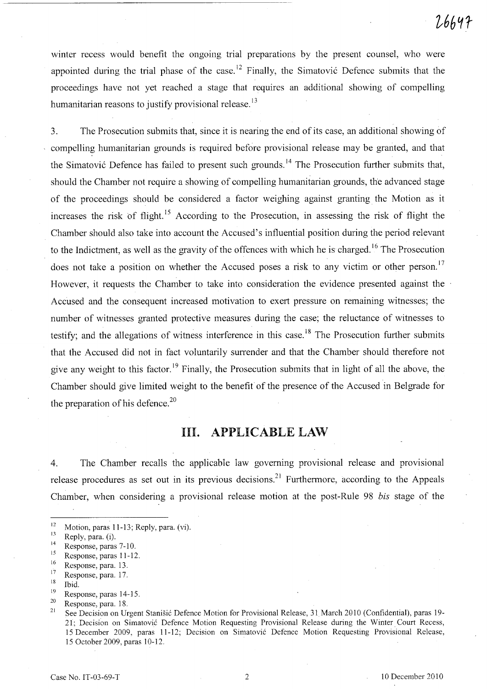winter recess would benefit the ongoing trial preparations by the present counsel, who were appointed during the trial phase of the case.<sup>12</sup> Finally, the Simatovic Defence submits that the proceedings have not yet reached a stage that requires an additional showing of compelling humanitarian reasons to justify provisional release.<sup>13</sup>

3. The Prosecution submits that, since it is nearing the end of its case, an additional showing of compelling humanitarian grounds is required before provisional release may be granted, and that the Simatović Defence has failed to present such grounds.<sup>14</sup> The Prosecution further submits that, should the Chamber not require a showing of compelling humanitarian grounds, the advanced stage of the proceedings should be considered a factor weighing against granting the Motion as it increases the risk of flight.<sup>15</sup> According to the Prosecution, in assessing the risk of flight the Chamber should also take into account the Accused's influential position during the period relevant to the Indictment, as well as the gravity of the offences with which he is charged.<sup>16</sup> The Prosecution does not take a position on whether the Accused poses a risk to any victim or other person.<sup>17</sup> However, it requests the Chamber to take into consideration the evidence presented against the Accused and the consequent increased motivation to exert pressure on remaining witnesses; the number of witnesses granted protective measures during the case; the reluctance of witnesses to testify; and the allegations of witness interference in this case.<sup>18</sup> The Prosecution further submits that the Accused did not in fact voluntarily surrender and that the Chamber should therefore not give any weight to this factor.<sup>19</sup> Finally, the Prosecution submits that in light of all the above, the Chamber should give limited weight to the benefit of the presence of the Accused in Belgrade for the preparation of his defence.<sup>20</sup>

## Ill. APPLICABLE LAW

4. The Chamber recalls the applicable law governing provisional release and provisional release procedures as set out in its previous decisions.<sup>21</sup> Furthermore, according to the Appeals Chamber, when considering a provisional release motion at the post-Rule 98 *bis* stage of the

- $\frac{17}{18}$  Response, para. 17.
- Ibid.
- $\frac{19}{20}$  Response, paras 14-15.

<sup>&</sup>lt;sup>12</sup> Motion, paras 11-13; Reply, para. (vi).

 $\frac{13}{14}$  Reply, para. (i).

 $14$  Response, paras 7-10.

 $\frac{15}{16}$  Response, paras 11-12.

 $\frac{16}{17}$  Response, para. 13.

 $\frac{20}{21}$  Response, para. 18.

<sup>21</sup> See Decision on Urgent Stani§i6 Defence Motion for Provisional Release, 31 March 2010 (Confidential), paras 19- 21; Decision on Simatovi6 Defence Motion Requesting Provisional Release during the Winter Court Recess, 15 December 2009, paras 11-12; Decision on Simatovi6 Defence Motion Requesting Provisional Release, 15 October 2009, paras 10-12. .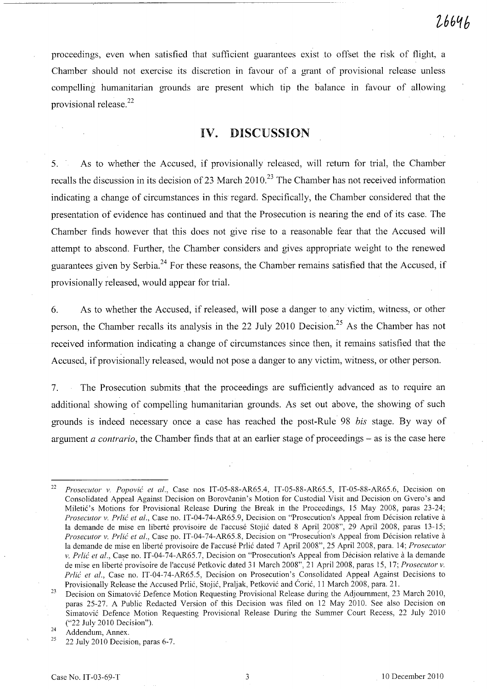proceedings, even when satisfied that sufficient guarantees exist to offset the risk of flight, a Chamber should not exercise its discretion in favour of a grant of provisional release unless compelling humanitarian grounds are present which tip the balance in favour of allowing provisional release.<sup>22</sup>

# **IV. DISCUSSION**

5. As to whether the Accused, if provisionally released, will return for trial, the Chamber recalls the discussion in its decision of 23 March  $2010<sup>23</sup>$  The Chamber has not received information indicating a change of circumstances in this regard. Specifically, the Chamber considered that the presentation of evidence has continued and that the Prosecution is nearing the end of its case. The Chamber finds however that this does not give rise to a reasonable fear that the Accused will attempt to abscond. Further, the Chamber considers and gives appropriate weight to the renewed guarantees given by Serbia?4 For these reasons, the Chamber remains satisfied that the Accused, if provisionally released, would appear for trial.

6. As to whether the Accused, if released, will pose a danger to any victim, witness, or other person, the Chamber recalls its analysis in the 22 July 2010 Decision.<sup>25</sup> As the Chamber has not received information indicating a change of circumstances since then, it remains satisfied that the Accused, if provisionally released, would not pose a danger to any victim, witness, or other person.

7. The Prosecution submits that the proceedings are sufficiently advanced as to require an additional showing of compelling humanitarian grounds. As set out above, the showing of such grounds is indeed necessary once a case has reached the post-Rule 98 *his* stage. By way of argument *a contrario,* the Chamber finds that at an earlier stage of proceedings - as is the case here

24 Addendum, Annex.

*<sup>22</sup> Prosecutor v. Popovic et al.,* Case nos IT-05-88-AR65.4, IT-05-88-AR65.5, IT-05-88-AR65.6, Decision on Consolidated Appeal Against Decision on Borovcanin's Motion for Custodial Visit and Decision on Gvero's and Miletić's Motions for Provisional Release During the Break in the Proceedings, 15 May 2008, paras 23-24; *Prosecutor v. Prlic et al.,* Case no. IT-04-74-AR65.9, Decision on "Prosecution's Appeal from Decision relative a la demande de mise en liberté provisoire de l'accusé Stojić dated 8 April 2008", 29 April 2008, paras 13-15; *Prosecutor v. Prlić et al., Case no. IT-04-74-AR65.8, Decision on "Prosecution's Appeal from Décision relative à* la demande de mise en liberte provisoire de I'accuse Prlic dated 7 April 2008", 25 April 2008, para. 14; *Prosecutor v. Prlić et al.*, Case no. IT-04-74-AR65.7, Decision on "Prosecution's Appeal from Décision relative à la demande de mise en liberté provisoire de l'accusé Petkovic dated 31 March 2008", 21 April 2008, paras 15, 17; Prosecutor v. *Prlic et al., Case no. IT-04-74-AR65.5, Decision on Prosecution's Consolidated Appeal Against Decisions to* Provisionally Release the Accused Prlic, Stojic, Praljak, Petkovic and Coric, 11 March 2008, para. 21.

<sup>23</sup>  Decision on Simatovic Defence Motion Requesting Provisional Release during the Adjournment, 23 March 2010, paras 25-27. A Public Redacted Version of this Decision was filed on 12 May 2010. See also Decision on Simatovic Defence Motion Requesting Provisional Release During the Summer Court Recess, 22 July 2010 ("22 July 2010 Decision").

<sup>25</sup>  22 July 2010 Decision, paras 6-7.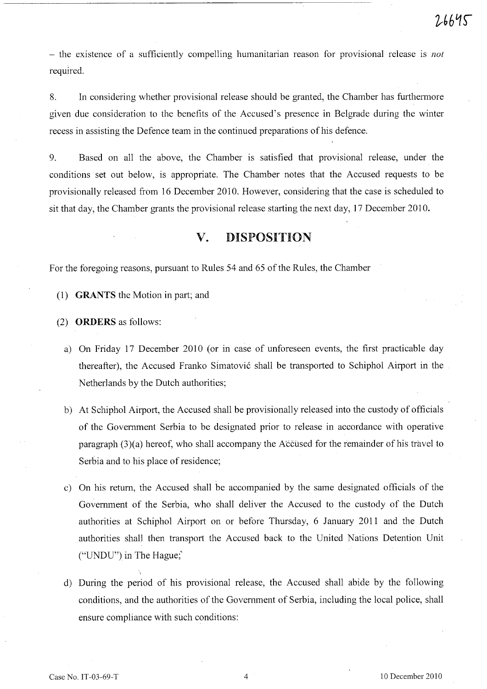- the existence of a sufficiently compelling humanitarian reason for provisional release is *not*  required.

8. In considering whether provisional release should be granted, the Chamber has furthennore given due consideration to the benefits of the Accused's presence in Belgrade during the winter recess in assisting the Defence team in the continued preparations of his defence.

9. Based on all the above, the Chamber is satisfied that provisional release, under the conditions set out below, is appropriate. The Chamber notes that the Accused requests to be provisionally released from 16 December 2010. However, considering that the case is scheduled to sit that day, the Chamber grants the provisional release starting the next day, 17 December 2010.

## **v.** DISPOSITION

For the foregoing reasons, pursuant to Rules 54 and 65 of the Rules, the Chamber

(1) GRANTS the Motion in part; and

(2) **ORDERS** as follows:

- a) On Friday 17 December 2010 (or in case of unforeseen events, the first practicable day thereafter), the Accused Franko Simatović shall be transported to Schiphol Airport in the Netherlands by the Dutch authorities;
- b) At Schiphol Airport, the Accused shall be provisionally released into the custody of officials of the Government Serbia to be designated prior to release in accordance with operative paragraph (3)(a) hereof, who shall accompany the Accilsed for the remainder of his travel to Serbia and to his place of residence;
- c) On his return, the Accused shall be accompanied by the same designated officials of the Government of the Serbia, who shall deliver the Accused to the custody of the Dutch authorities at Schiphol Airport on or before Thursday, 6 January 2011 and the Dutch authorities shall then transport the Accused back to the United Nations Detention Unit ("UNDU") in The Hague;'
- d) During the period of his provisional release, the Accused shall abide by the following conditions, and the authorities of the Government of Serbia, including the local police, shall ensure compliance with such conditions: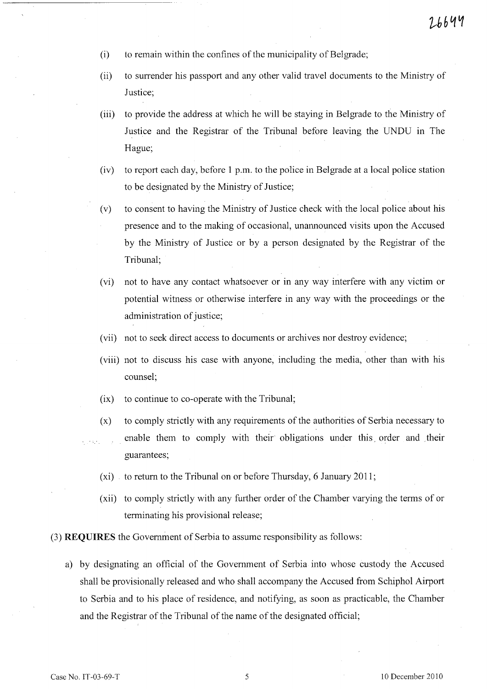- (i) to remain within the confines of the municipality of Belgrade;
- (ii) to surrender his passport and any other valid travel documents to the Ministry of Justice;
- (iii) to provide the address at which he will be staying in Belgrade to the Ministry of Justice and the Registrar of the Tribunal before leaving the UNDU in The Hague;
- (iv) to report each day, before 1 p.m. to the police in Belgrade at a local police station to be designated by the Ministry of Justice;
- (v) to consent to having the Ministry of Justice check with the local police about his presence and to the making of occasional, unannounced visits upon the Accused by the Ministry of Justice or by a person designated by the Registrar of the Tribunal;
- (vi) not to have any contact whatsoever or in any way interfere with any victim or potential witness or otherwise interfere in any way with the proceedings or the administration of justice;
- (vii) not to seek direct access to documents or archives nor destroy evidence;
- (viii) not to discuss his case with anyone, including the media, other than with his counsel;
- (ix) to continue to co-operate with the Tribunal;
- (x) to comply strictly with any requirements of the authorities of Serbia necessary to enable them to comply with their obligations under this, order and their guarantees;
- (xi) to return to the Tribunal on or before Thursday, 6 January 2011;
- (xii) to comply strictly with any further order of the Chamber varying the terms of or terminating his provisional release;
- (3) **REQUIRES** the Government of Serbia to assume responsibility as follows:
	- a) by designating an official of the Government of Serbia into whose custody the Accused shall be provisionally released and who shall accompany the Accused from Schiphol Airport to Serbia and to his place of residence, and notifying, as soon as practicable, the Chamber and the Registrar of the Tribunal of the name of the designated official;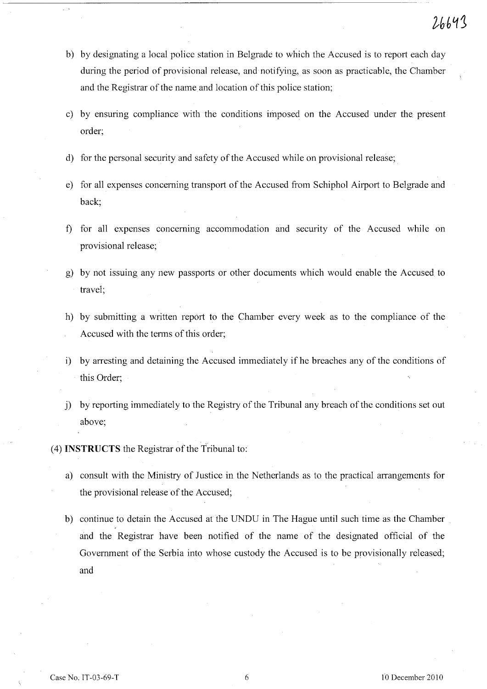- b) by designating a local police station in Belgrade to which the Accused is to report each day during the period of provisional release, and notifying, as soon as practicable, the Chamber and the Registrar of the name and location of this police station;
- c) by ensuring compliance with the conditions imposed on the Accused under the present order;
- d) for the personal security and safety of the Accused while on provisional release;
- e) for all expenses concerning transport of the Accused from Schiphol Airport to Belgrade and back;
- f) for all expenses concerning accommodation and security of the Accused while on provisional release;
- g) by not issuing any new passports or other documents which would enable the Accused to travel;
- h) by submitting a written report to the Chamber every week as to the compliance of the Accused with the terms of this order;
- i) by arresting and detaining the Accused immediately if he breaches any of the conditions of this Order;
- j) by reporting immediately to the Registry of the Tribunal any breach of the conditions set out above;
- (4) **INSTRUCTS** the Registrar of the Tribunal to:
	- a) consult with the Ministry of Justice in the Netherlands as to the practical arrangements for the provisional release of the Accused;
	- b) continue to detain the Accused at the UNDU in The Hague until such time as the Chamber and the Registrar have been notified of the name of the designated official of the Government of the Serbia into whose custody the Accused is to be provisionally released; and